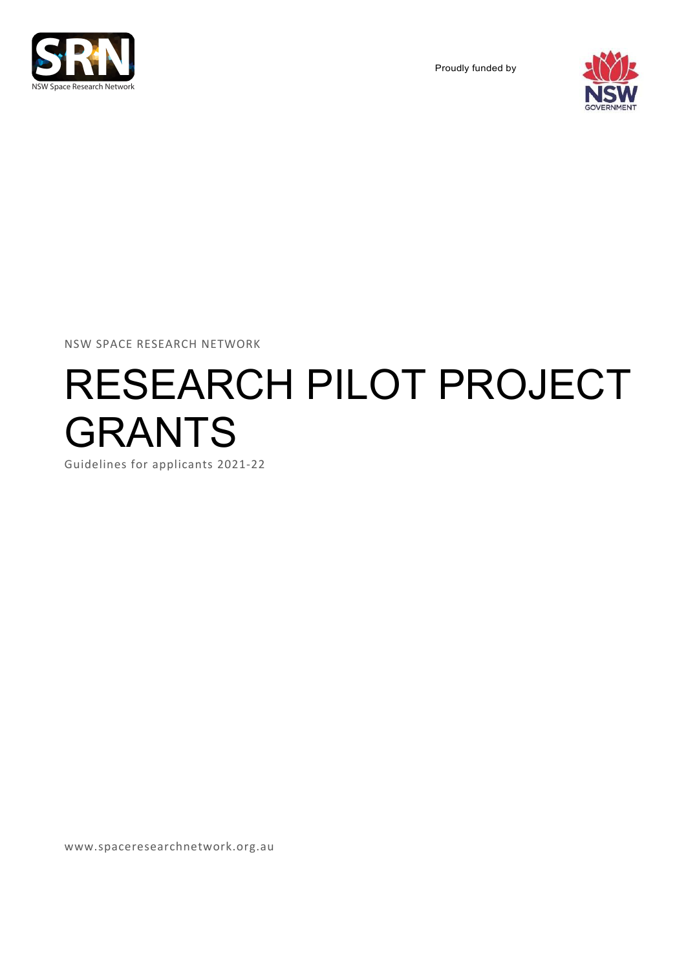

Proudly funded by



NSW SPACE RESEARCH NETWORK

# RESEARCH PILOT PROJECT GRANTS

Guidelines for applicants 2021-22

www.spaceresearchnetwork.org.au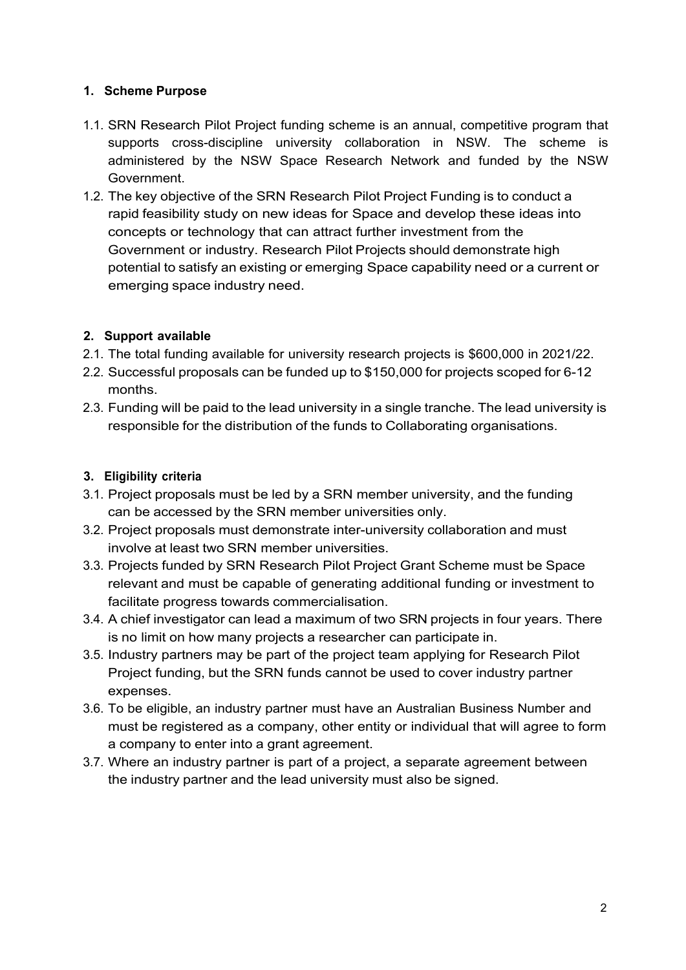#### **1. Scheme Purpose**

- 1.1. SRN Research Pilot Project funding scheme is an annual, competitive program that supports cross-discipline university collaboration in NSW. The scheme is administered by the NSW Space Research Network and funded by the NSW Government.
- 1.2. The key objective of the SRN Research Pilot Project Funding is to conduct a rapid feasibility study on new ideas for Space and develop these ideas into concepts or technology that can attract further investment from the Government or industry. Research Pilot Projects should demonstrate high potential to satisfy an existing or emerging Space capability need or a current or emerging space industry need.

## **2. Support available**

- 2.1. The total funding available for university research projects is \$600,000 in 2021/22.
- 2.2. Successful proposals can be funded up to \$150,000 for projects scoped for 6-12 months.
- 2.3. Funding will be paid to the lead university in a single tranche. The lead university is responsible for the distribution of the funds to Collaborating organisations.

## **3. Eligibility criteria**

- 3.1. Project proposals must be led by a SRN member university, and the funding can be accessed by the SRN member universities only.
- 3.2. Project proposals must demonstrate inter-university collaboration and must involve at least two SRN member universities.
- 3.3. Projects funded by SRN Research Pilot Project Grant Scheme must be Space relevant and must be capable of generating additional funding or investment to facilitate progress towards commercialisation.
- 3.4. A chief investigator can lead a maximum of two SRN projects in four years. There is no limit on how many projects a researcher can participate in.
- 3.5. Industry partners may be part of the project team applying for Research Pilot Project funding, but the SRN funds cannot be used to cover industry partner expenses.
- 3.6. To be eligible, an industry partner must have an Australian Business Number and must be registered as a company, other entity or individual that will agree to form a company to enter into a grant agreement.
- 3.7. Where an industry partner is part of a project, a separate agreement between the industry partner and the lead university must also be signed.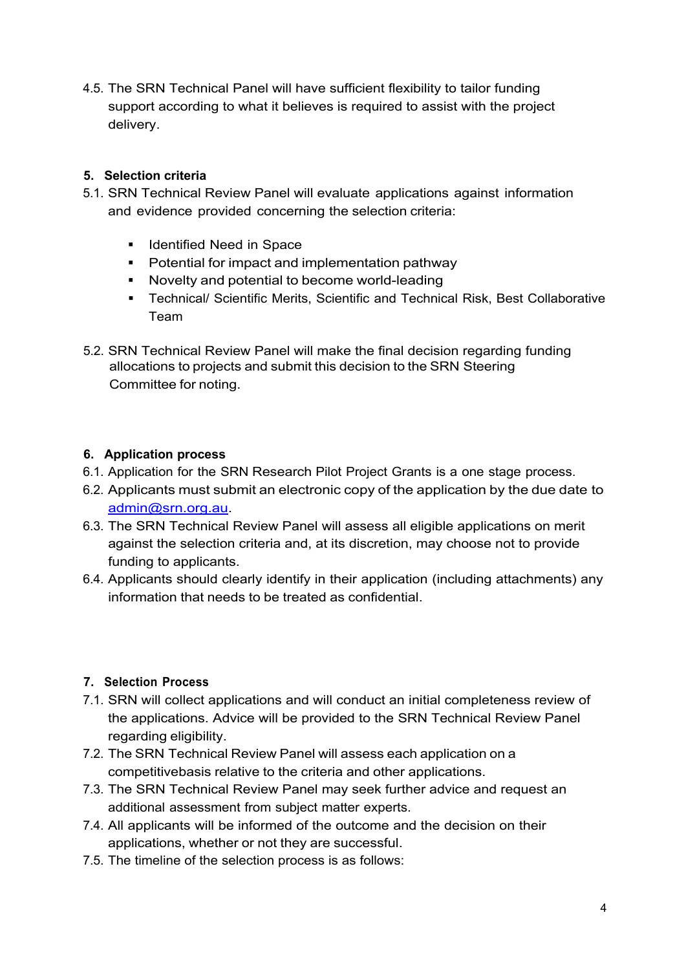4.5. The SRN Technical Panel will have sufficient flexibility to tailor funding support according to what it believes is required to assist with the project delivery.

# **5. Selection criteria**

- 5.1. SRN Technical Review Panel will evaluate applications against information and evidence provided concerning the selection criteria:
	- Identified Need in Space
	- Potential for impact and implementation pathway
	- § Novelty and potential to become world-leading
	- Technical/ Scientific Merits, Scientific and Technical Risk, Best Collaborative Team
- 5.2. SRN Technical Review Panel will make the final decision regarding funding allocations to projects and submit this decision to the SRN Steering Committee for noting.

## **6. Application process**

- 6.1. Application for the SRN Research Pilot Project Grants is a one stage process.
- 6.2. Applicants must submit an electronic copy of the application by the due date to admin@srn.org.au.
- 6.3. The SRN Technical Review Panel will assess all eligible applications on merit against the selection criteria and, at its discretion, may choose not to provide funding to applicants.
- 6.4. Applicants should clearly identify in their application (including attachments) any information that needs to be treated as confidential.

#### **7. Selection Process**

- 7.1. SRN will collect applications and will conduct an initial completeness review of the applications. Advice will be provided to the SRN Technical Review Panel regarding eligibility.
- 7.2. The SRN Technical Review Panel will assess each application on a competitivebasis relative to the criteria and other applications.
- 7.3. The SRN Technical Review Panel may seek further advice and request an additional assessment from subject matter experts.
- 7.4. All applicants will be informed of the outcome and the decision on their applications, whether or not they are successful.
- 7.5. The timeline of the selection process is as follows: